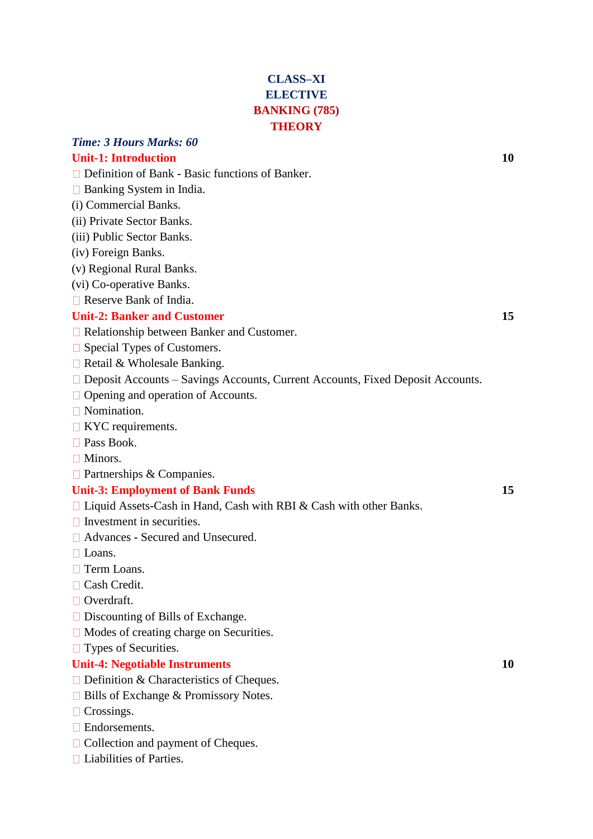# **CLASS–XI ELECTIVE BANKING (785) THEORY**

# *Time: 3 Hours Marks: 60*

# **Unit-1: Introduction 10**

- □ Definition of Bank Basic functions of Banker.
- $\Box$  Banking System in India.
- (i) Commercial Banks.
- (ii) Private Sector Banks.
- (iii) Public Sector Banks.
- (iv) Foreign Banks.
- (v) Regional Rural Banks.
- (vi) Co-operative Banks.
- Reserve Bank of India.

#### **Unit-2: Banker and Customer 15**

- □ Relationship between Banker and Customer.
- □ Special Types of Customers.
- $\Box$  Retail & Wholesale Banking.
- □ Deposit Accounts Savings Accounts, Current Accounts, Fixed Deposit Accounts.
- □ Opening and operation of Accounts.
- Nomination.
- $\Box$  KYC requirements.
- □ Pass Book.
- □ Minors.
- □ Partnerships & Companies.

#### **Unit-3: Employment of Bank Funds** 15

- $\Box$  Liquid Assets-Cash in Hand, Cash with RBI & Cash with other Banks.
- $\Box$  Investment in securities.
- Advances Secured and Unsecured.
- $\Box$  Loans.
- □ Term Loans.
- □ Cash Credit.
- □ Overdraft.
- $\Box$  Discounting of Bills of Exchange.
- □ Modes of creating charge on Securities.
- □ Types of Securities.

#### **Unit-4: Negotiable Instruments 10**

- □ Definition & Characteristics of Cheques.
- □ Bills of Exchange & Promissory Notes.
- □ Crossings.
- □ Endorsements.
- □ Collection and payment of Cheques.
- $\Box$  Liabilities of Parties.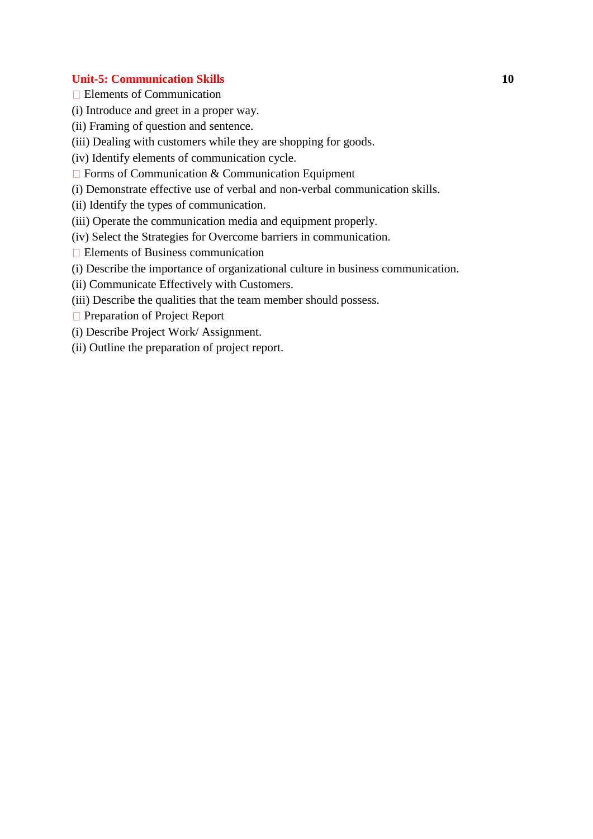#### **Unit-5: Communication Skills 10**

- Elements of Communication
- (i) Introduce and greet in a proper way.
- (ii) Framing of question and sentence.
- (iii) Dealing with customers while they are shopping for goods.
- (iv) Identify elements of communication cycle.
- $\Box$  Forms of Communication & Communication Equipment
- (i) Demonstrate effective use of verbal and non-verbal communication skills.
- (ii) Identify the types of communication.
- (iii) Operate the communication media and equipment properly.
- (iv) Select the Strategies for Overcome barriers in communication.
- Elements of Business communication
- (i) Describe the importance of organizational culture in business communication.
- (ii) Communicate Effectively with Customers.
- (iii) Describe the qualities that the team member should possess.
- **Preparation of Project Report**
- (i) Describe Project Work/ Assignment.
- (ii) Outline the preparation of project report.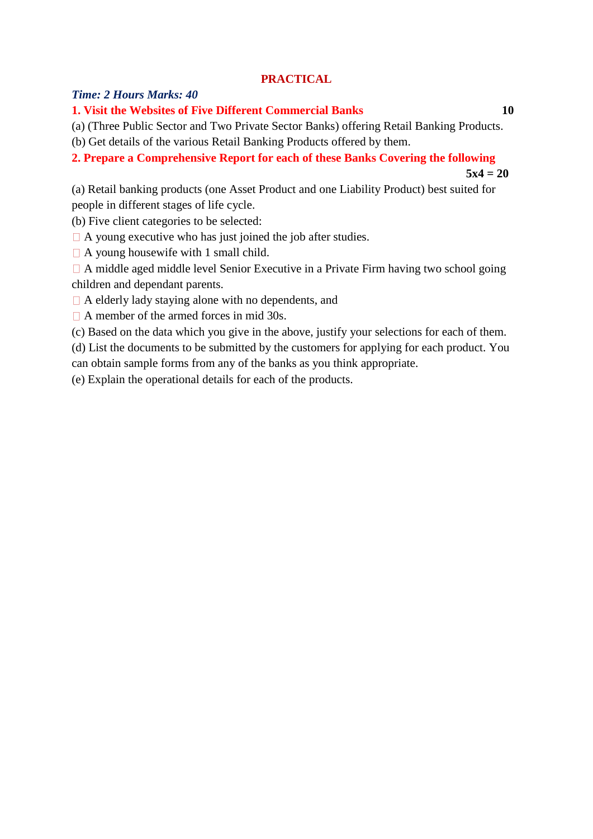### **PRACTICAL**

### *Time: 2 Hours Marks: 40*

### **1. Visit the Websites of Five Different Commercial Banks 10**

(a) (Three Public Sector and Two Private Sector Banks) offering Retail Banking Products.

(b) Get details of the various Retail Banking Products offered by them.

## **2. Prepare a Comprehensive Report for each of these Banks Covering the following**

 $5x4 = 20$ 

(a) Retail banking products (one Asset Product and one Liability Product) best suited for people in different stages of life cycle.

(b) Five client categories to be selected:

 $\Box$  A young executive who has just joined the job after studies.

 $\Box$  A young housewife with 1 small child.

 $\Box$  A middle aged middle level Senior Executive in a Private Firm having two school going children and dependant parents.

 $\Box$  A elderly lady staying alone with no dependents, and

 $\Box$  A member of the armed forces in mid 30s.

(c) Based on the data which you give in the above, justify your selections for each of them.

(d) List the documents to be submitted by the customers for applying for each product. You can obtain sample forms from any of the banks as you think appropriate.

(e) Explain the operational details for each of the products.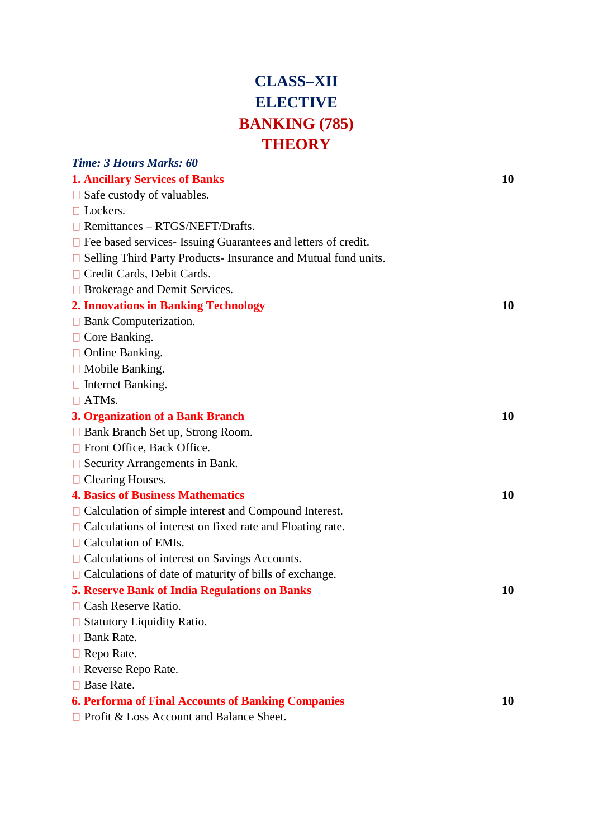# **CLASS–XII ELECTIVE BANKING (785) THEORY**

| <b>Time: 3 Hours Marks: 60</b>                                       |    |
|----------------------------------------------------------------------|----|
| <b>1. Ancillary Services of Banks</b>                                | 10 |
| $\Box$ Safe custody of valuables.                                    |    |
| $\Box$ Lockers.                                                      |    |
| $\Box$ Remittances – RTGS/NEFT/Drafts.                               |    |
| $\Box$ Fee based services- Issuing Guarantees and letters of credit. |    |
| $\Box$ Selling Third Party Products-Insurance and Mutual fund units. |    |
| □ Credit Cards, Debit Cards.                                         |    |
| $\Box$ Brokerage and Demit Services.                                 |    |
| <b>2. Innovations in Banking Technology</b>                          | 10 |
| $\Box$ Bank Computerization.                                         |    |
| $\Box$ Core Banking.                                                 |    |
| $\Box$ Online Banking.                                               |    |
| $\Box$ Mobile Banking.                                               |    |
| $\Box$ Internet Banking.                                             |    |
| $\Box$ ATMs.                                                         |    |
| 3. Organization of a Bank Branch                                     | 10 |
| $\Box$ Bank Branch Set up, Strong Room.                              |    |
| $\Box$ Front Office, Back Office.                                    |    |
| $\Box$ Security Arrangements in Bank.                                |    |
| $\Box$ Clearing Houses.                                              |    |
| <b>4. Basics of Business Mathematics</b>                             | 10 |
| $\Box$ Calculation of simple interest and Compound Interest.         |    |
| $\Box$ Calculations of interest on fixed rate and Floating rate.     |    |
| $\Box$ Calculation of EMIs.                                          |    |
| $\Box$ Calculations of interest on Savings Accounts.                 |    |
| $\Box$ Calculations of date of maturity of bills of exchange.        |    |
| <b>5. Reserve Bank of India Regulations on Banks</b>                 | 10 |
| Cash Reserve Ratio.                                                  |    |
| <b>Statutory Liquidity Ratio.</b>                                    |    |
| Bank Rate.                                                           |    |
| $\Box$ Repo Rate.                                                    |    |
| $\Box$ Reverse Repo Rate.                                            |    |
| Base Rate.                                                           |    |
| <b>6. Performa of Final Accounts of Banking Companies</b>            | 10 |
| $\Box$ Profit & Loss Account and Balance Sheet.                      |    |